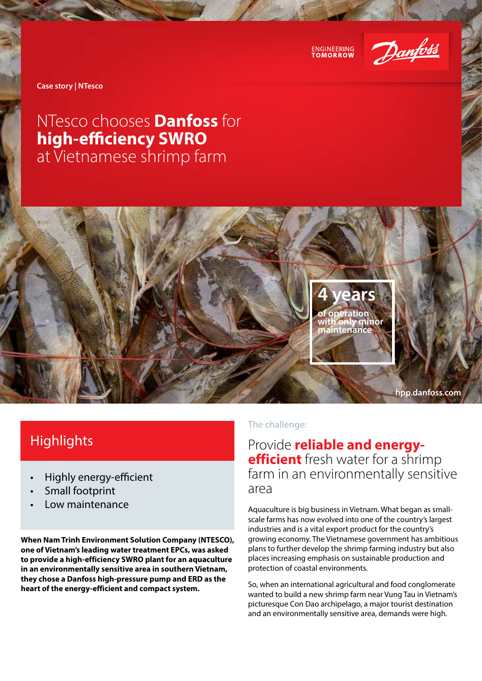



**Case story | NTesco**

# NTesco chooses **Danfoss** for **high-efficiency SWRO** at Vietnamese shrimp farm



## **Highlights**

- Highly energy-efficient
- Small footprint
- Low maintenance

**When Nam Trinh Environment Solution Company (NTESCO), one of Vietnam's leading water treatment EPCs, was asked to provide a high-efficiency SWRO plant for an aquaculture in an environmentally sensitive area in southern Vietnam, they chose a Danfoss high-pressure pump and ERD as the heart of the energy-efficient and compact system.**

### The challenge:

Provide **reliable and energyefficient** fresh water for a shrimp farm in an environmentally sensitive area

Aquaculture is big business in Vietnam. What began as smallscale farms has now evolved into one of the country's largest industries and is a vital export product for the country's growing economy. The Vietnamese government has ambitious plans to further develop the shrimp farming industry but also places increasing emphasis on sustainable production and protection of coastal environments.

So, when an international agricultural and food conglomerate wanted to build a new shrimp farm near Vung Tau in Vietnam's picturesque Con Dao archipelago, a major tourist destination and an environmentally sensitive area, demands were high.